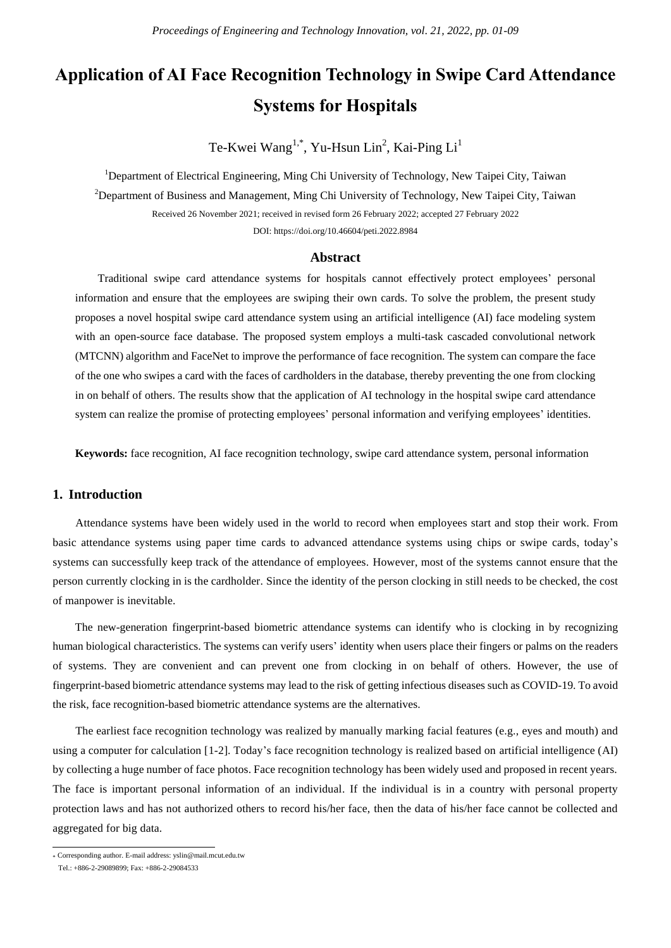# **Application of AI Face Recognition Technology in Swipe Card Attendance Systems for Hospitals**

Te-Kwei Wang<sup>1,\*</sup>, Yu-Hsun Lin<sup>2</sup>, Kai-Ping Li<sup>1</sup>

<sup>1</sup>Department of Electrical Engineering, Ming Chi University of Technology, New Taipei City, Taiwan <sup>2</sup>Department of Business and Management, Ming Chi University of Technology, New Taipei City, Taiwan Received 26 November 2021; received in revised form 26 February 2022; accepted 27 February 2022 DOI: https://doi.org/10.46604/peti.2022.8984

#### **Abstract**

Traditional swipe card attendance systems for hospitals cannot effectively protect employees' personal information and ensure that the employees are swiping their own cards. To solve the problem, the present study proposes a novel hospital swipe card attendance system using an artificial intelligence (AI) face modeling system with an open-source face database. The proposed system employs a multi-task cascaded convolutional network (MTCNN) algorithm and FaceNet to improve the performance of face recognition. The system can compare the face of the one who swipes a card with the faces of cardholders in the database, thereby preventing the one from clocking in on behalf of others. The results show that the application of AI technology in the hospital swipe card attendance system can realize the promise of protecting employees' personal information and verifying employees' identities.

**Keywords:** face recognition, AI face recognition technology, swipe card attendance system, personal information

### **1. Introduction**

Attendance systems have been widely used in the world to record when employees start and stop their work. From basic attendance systems using paper time cards to advanced attendance systems using chips or swipe cards, today's systems can successfully keep track of the attendance of employees. However, most of the systems cannot ensure that the person currently clocking in is the cardholder. Since the identity of the person clocking in still needs to be checked, the cost of manpower is inevitable.

The new-generation fingerprint-based biometric attendance systems can identify who is clocking in by recognizing human biological characteristics. The systems can verify users' identity when users place their fingers or palms on the readers of systems. They are convenient and can prevent one from clocking in on behalf of others. However, the use of fingerprint-based biometric attendance systems may lead to the risk of getting infectious diseases such as COVID-19. To avoid the risk, face recognition-based biometric attendance systems are the alternatives.

The earliest face recognition technology was realized by manually marking facial features (e.g., eyes and mouth) and using a computer for calculation [1-2]. Today's face recognition technology is realized based on artificial intelligence (AI) by collecting a huge number of face photos. Face recognition technology has been widely used and proposed in recent years. The face is important personal information of an individual. If the individual is in a country with personal property protection laws and has not authorized others to record his/her face, then the data of his/her face cannot be collected and aggregated for big data.

 \* Corresponding author. E-mail address: yslin@mail.mcut.edu.tw

Tel.: +886-2-29089899; Fax: +886-2-29084533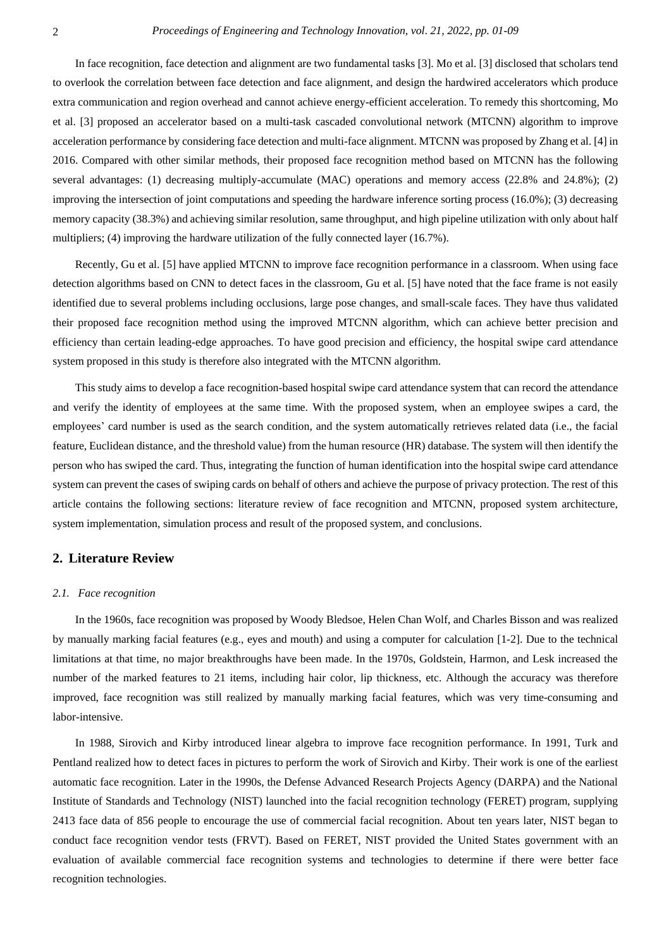In face recognition, face detection and alignment are two fundamental tasks [3]. Mo et al. [3] disclosed that scholars tend to overlook the correlation between face detection and face alignment, and design the hardwired accelerators which produce extra communication and region overhead and cannot achieve energy-efficient acceleration. To remedy this shortcoming, Mo et al. [3] proposed an accelerator based on a multi-task cascaded convolutional network (MTCNN) algorithm to improve acceleration performance by considering face detection and multi-face alignment. MTCNN was proposed by Zhang et al. [4] in 2016. Compared with other similar methods, their proposed face recognition method based on MTCNN has the following several advantages: (1) decreasing multiply-accumulate (MAC) operations and memory access (22.8% and 24.8%); (2) improving the intersection of joint computations and speeding the hardware inference sorting process (16.0%); (3) decreasing memory capacity (38.3%) and achieving similar resolution, same throughput, and high pipeline utilization with only about half multipliers; (4) improving the hardware utilization of the fully connected layer (16.7%).

Recently, Gu et al. [5] have applied MTCNN to improve face recognition performance in a classroom. When using face detection algorithms based on CNN to detect faces in the classroom, Gu et al. [5] have noted that the face frame is not easily identified due to several problems including occlusions, large pose changes, and small-scale faces. They have thus validated their proposed face recognition method using the improved MTCNN algorithm, which can achieve better precision and efficiency than certain leading-edge approaches. To have good precision and efficiency, the hospital swipe card attendance system proposed in this study is therefore also integrated with the MTCNN algorithm.

This study aims to develop a face recognition-based hospital swipe card attendance system that can record the attendance and verify the identity of employees at the same time. With the proposed system, when an employee swipes a card, the employees' card number is used as the search condition, and the system automatically retrieves related data (i.e., the facial feature, Euclidean distance, and the threshold value) from the human resource (HR) database. The system will then identify the person who has swiped the card. Thus, integrating the function of human identification into the hospital swipe card attendance system can prevent the cases of swiping cards on behalf of others and achieve the purpose of privacy protection. The rest of this article contains the following sections: literature review of face recognition and MTCNN, proposed system architecture, system implementation, simulation process and result of the proposed system, and conclusions.

#### **2. Literature Review**

#### *2.1. Face recognition*

In the 1960s, face recognition was proposed by Woody Bledsoe, Helen Chan Wolf, and Charles Bisson and was realized by manually marking facial features (e.g., eyes and mouth) and using a computer for calculation [1-2]. Due to the technical limitations at that time, no major breakthroughs have been made. In the 1970s, Goldstein, Harmon, and Lesk increased the number of the marked features to 21 items, including hair color, lip thickness, etc. Although the accuracy was therefore improved, face recognition was still realized by manually marking facial features, which was very time-consuming and labor-intensive.

In 1988, Sirovich and Kirby introduced linear algebra to improve face recognition performance. In 1991, Turk and Pentland realized how to detect faces in pictures to perform the work of Sirovich and Kirby. Their work is one of the earliest automatic face recognition. Later in the 1990s, the Defense Advanced Research Projects Agency (DARPA) and the National Institute of Standards and Technology (NIST) launched into the facial recognition technology (FERET) program, supplying 2413 face data of 856 people to encourage the use of commercial facial recognition. About ten years later, NIST began to conduct face recognition vendor tests (FRVT). Based on FERET, NIST provided the United States government with an evaluation of available commercial face recognition systems and technologies to determine if there were better face recognition technologies.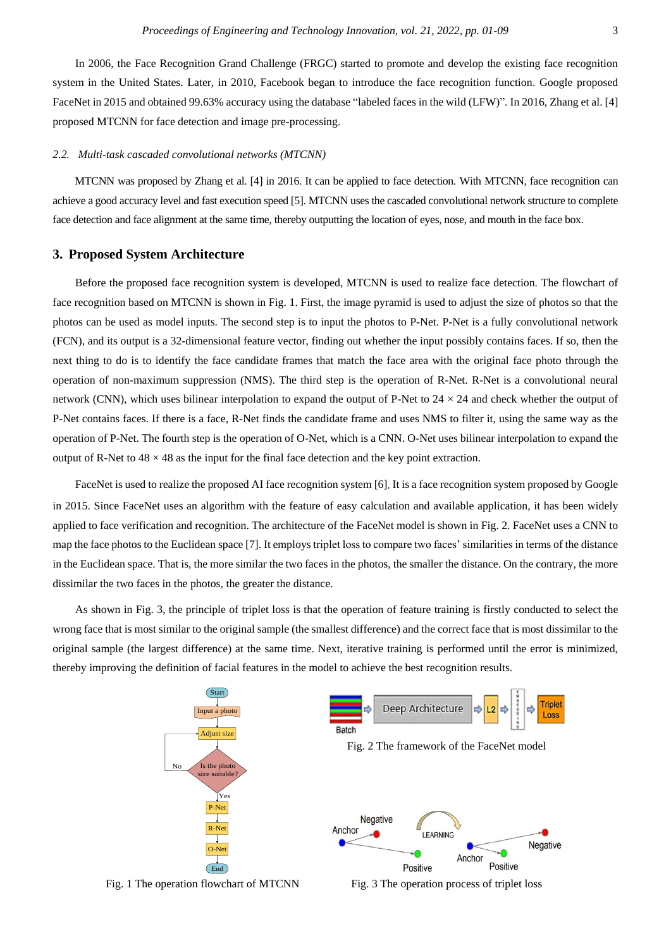In 2006, the Face Recognition Grand Challenge (FRGC) started to promote and develop the existing face recognition system in the United States. Later, in 2010, Facebook began to introduce the face recognition function. Google proposed FaceNet in 2015 and obtained 99.63% accuracy using the database "labeled faces in the wild (LFW)". In 2016, Zhang et al. [4] proposed MTCNN for face detection and image pre-processing.

#### *2.2. Multi-task cascaded convolutional networks (MTCNN)*

MTCNN was proposed by Zhang et al. [4] in 2016. It can be applied to face detection. With MTCNN, face recognition can achieve a good accuracy level and fast execution speed [5]. MTCNN uses the cascaded convolutional network structure to complete face detection and face alignment at the same time, thereby outputting the location of eyes, nose, and mouth in the face box.

#### **3. Proposed System Architecture**

Before the proposed face recognition system is developed, MTCNN is used to realize face detection. The flowchart of face recognition based on MTCNN is shown in Fig. 1. First, the image pyramid is used to adjust the size of photos so that the photos can be used as model inputs. The second step is to input the photos to P-Net. P-Net is a fully convolutional network (FCN), and its output is a 32-dimensional feature vector, finding out whether the input possibly contains faces. If so, then the next thing to do is to identify the face candidate frames that match the face area with the original face photo through the operation of non-maximum suppression (NMS). The third step is the operation of R-Net. R-Net is a convolutional neural network (CNN), which uses bilinear interpolation to expand the output of P-Net to  $24 \times 24$  and check whether the output of P-Net contains faces. If there is a face, R-Net finds the candidate frame and uses NMS to filter it, using the same way as the operation of P-Net. The fourth step is the operation of O-Net, which is a CNN. O-Net uses bilinear interpolation to expand the output of R-Net to  $48 \times 48$  as the input for the final face detection and the key point extraction.

FaceNet is used to realize the proposed AI face recognition system [6]. It is a face recognition system proposed by Google in 2015. Since FaceNet uses an algorithm with the feature of easy calculation and available application, it has been widely applied to face verification and recognition. The architecture of the FaceNet model is shown in Fig. 2. FaceNet uses a CNN to map the face photos to the Euclidean space [7]. It employs triplet loss to compare two faces' similarities in terms of the distance in the Euclidean space. That is, the more similar the two faces in the photos, the smaller the distance. On the contrary, the more dissimilar the two faces in the photos, the greater the distance.

As shown in Fig. 3, the principle of triplet loss is that the operation of feature training is firstly conducted to select the wrong face that is most similar to the original sample (the smallest difference) and the correct face that is most dissimilar to the original sample (the largest difference) at the same time. Next, iterative training is performed until the error is minimized, thereby improving the definition of facial features in the model to achieve the best recognition results.

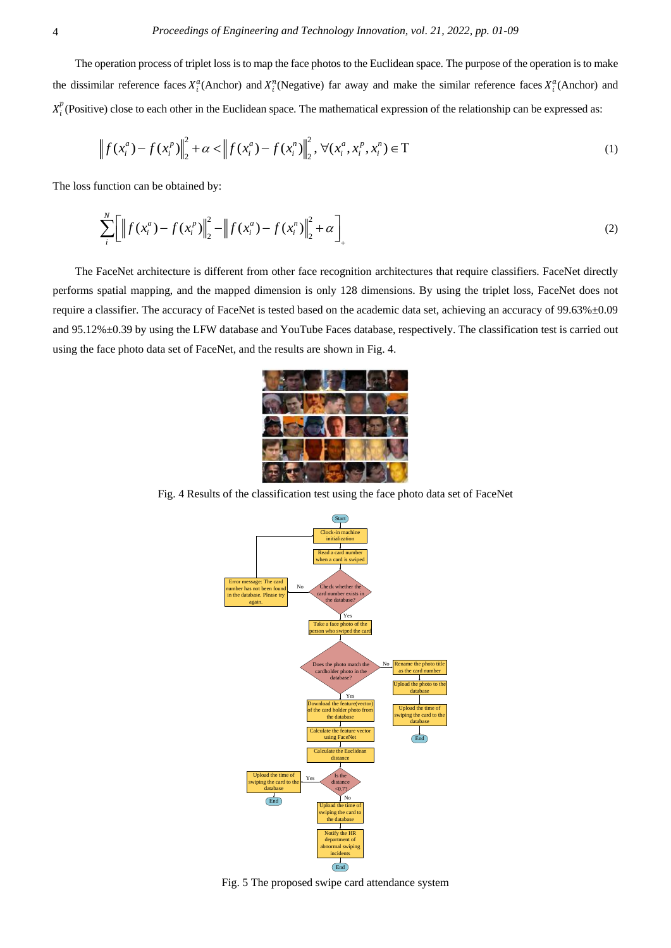The operation process of triplet loss is to map the face photos to the Euclidean space. The purpose of the operation is to make the dissimilar reference faces  $X_i^a$ (Anchor) and  $X_i^n$ (Negative) far away and make the similar reference faces  $X_i^a$ (Anchor) and  $X_i^p$ (Positive) close to each other in the Euclidean space. The mathematical expression of the relationship can be expressed as:

$$
\left\|f(x_i^a) - f(x_i^p)\right\|_2^2 + \alpha < \left\|f(x_i^a) - f(x_i^n)\right\|_2^2, \forall (x_i^a, x_i^p, x_i^n) \in \mathcal{T} \tag{1}
$$

The loss function can be obtained by:

$$
\sum_{i}^{N} \left[ \left\| f(x_{i}^{a}) - f(x_{i}^{p}) \right\|_{2}^{2} - \left\| f(x_{i}^{a}) - f(x_{i}^{n}) \right\|_{2}^{2} + \alpha \right]_{+}
$$
\n(2)

The FaceNet architecture is different from other face recognition architectures that require classifiers. FaceNet directly performs spatial mapping, and the mapped dimension is only 128 dimensions. By using the triplet loss, FaceNet does not require a classifier. The accuracy of FaceNet is tested based on the academic data set, achieving an accuracy of 99.63%±0.09 and 95.12%±0.39 by using the LFW database and YouTube Faces database, respectively. The classification test is carried out using the face photo data set of FaceNet, and the results are shown in Fig. 4.



Fig. 4 Results of the classification test using the face photo data set of FaceNet



Fig. 5 The proposed swipe card attendance system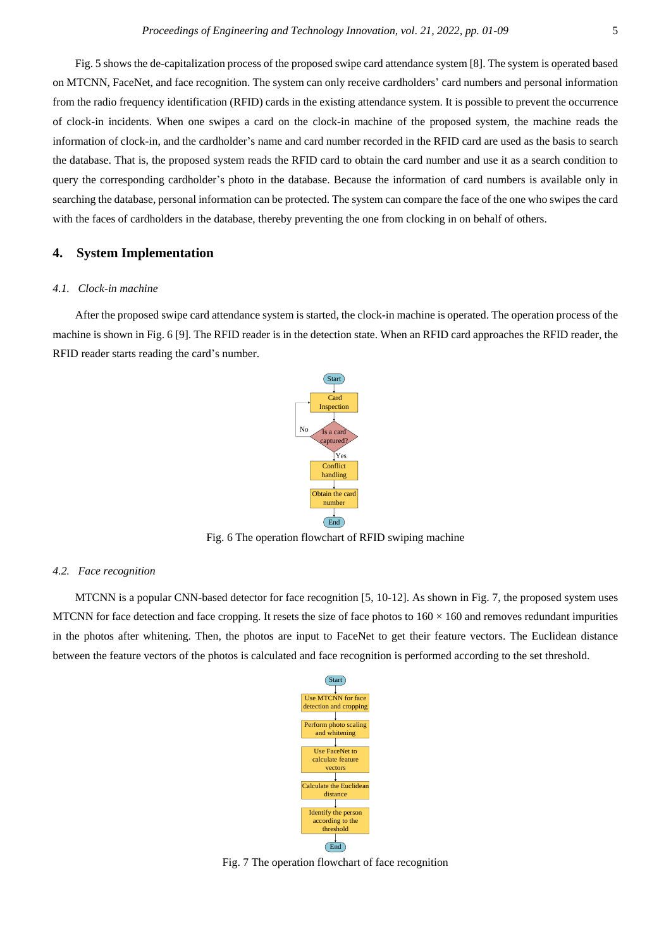Fig. 5 shows the de-capitalization process of the proposed swipe card attendance system [8]. The system is operated based on MTCNN, FaceNet, and face recognition. The system can only receive cardholders' card numbers and personal information from the radio frequency identification (RFID) cards in the existing attendance system. It is possible to prevent the occurrence of clock-in incidents. When one swipes a card on the clock-in machine of the proposed system, the machine reads the information of clock-in, and the cardholder's name and card number recorded in the RFID card are used as the basis to search the database. That is, the proposed system reads the RFID card to obtain the card number and use it as a search condition to query the corresponding cardholder's photo in the database. Because the information of card numbers is available only in searching the database, personal information can be protected. The system can compare the face of the one who swipes the card with the faces of cardholders in the database, thereby preventing the one from clocking in on behalf of others.

# **4. System Implementation**

#### *4.1. Clock-in machine*

After the proposed swipe card attendance system is started, the clock-in machine is operated. The operation process of the machine is shown in Fig. 6 [9]. The RFID reader is in the detection state. When an RFID card approaches the RFID reader, the RFID reader starts reading the card's number.



Fig. 6 The operation flowchart of RFID swiping machine

#### *4.2. Face recognition*

MTCNN is a popular CNN-based detector for face recognition [5, 10-12]. As shown in Fig. 7, the proposed system uses MTCNN for face detection and face cropping. It resets the size of face photos to  $160 \times 160$  and removes redundant impurities in the photos after whitening. Then, the photos are input to FaceNet to get their feature vectors. The Euclidean distance between the feature vectors of the photos is calculated and face recognition is performed according to the set threshold.



Fig. 7 The operation flowchart of face recognition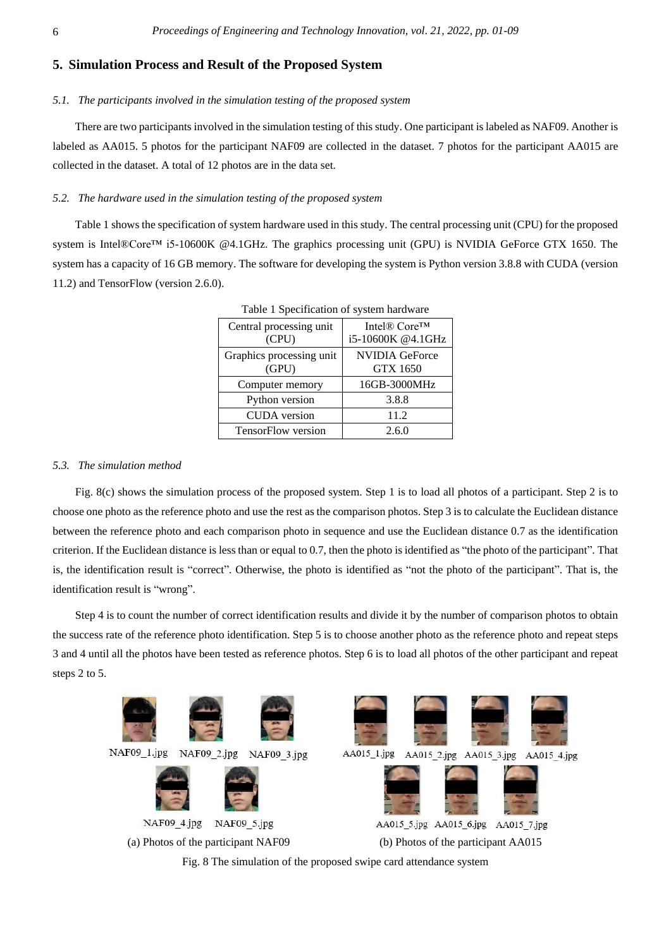# **5. Simulation Process and Result of the Proposed System**

#### *5.1. The participants involved in the simulation testing of the proposed system*

There are two participants involved in the simulation testing of this study. One participant is labeled as NAF09. Another is labeled as AA015. 5 photos for the participant NAF09 are collected in the dataset. 7 photos for the participant AA015 are collected in the dataset. A total of 12 photos are in the data set.

#### *5.2. The hardware used in the simulation testing of the proposed system*

Table 1 shows the specification of system hardware used in this study. The central processing unit (CPU) for the proposed system is Intel®Core<sup>™</sup> i5-10600K @4.1GHz. The graphics processing unit (GPU) is NVIDIA GeForce GTX 1650. The system has a capacity of 16 GB memory. The software for developing the system is Python version 3.8.8 with CUDA (version 11.2) and TensorFlow (version 2.6.0).

| Central processing unit<br>(CPU)  | Intel® Core™<br>i5-10600K @4.1GHz        |  |
|-----------------------------------|------------------------------------------|--|
| Graphics processing unit<br>(GPU) | <b>NVIDIA GeForce</b><br><b>GTX 1650</b> |  |
| Computer memory                   | 16GB-3000MHz                             |  |
| Python version                    | 3.8.8                                    |  |
| <b>CUDA</b> version               | 11.2                                     |  |
| TensorFlow version                | 2.6.0                                    |  |

Table 1 Specification of system hardware

#### *5.3. The simulation method*

Fig. 8(c) shows the simulation process of the proposed system. Step 1 is to load all photos of a participant. Step 2 is to choose one photo as the reference photo and use the rest as the comparison photos. Step 3 is to calculate the Euclidean distance between the reference photo and each comparison photo in sequence and use the Euclidean distance 0.7 as the identification criterion. If the Euclidean distance is less than or equal to 0.7, then the photo is identified as "the photo of the participant". That is, the identification result is "correct". Otherwise, the photo is identified as "not the photo of the participant". That is, the identification result is "wrong".

Step 4 is to count the number of correct identification results and divide it by the number of comparison photos to obtain the success rate of the reference photo identification. Step 5 is to choose another photo as the reference photo and repeat steps 3 and 4 until all the photos have been tested as reference photos. Step 6 is to load all photos of the other participant and repeat steps 2 to 5.

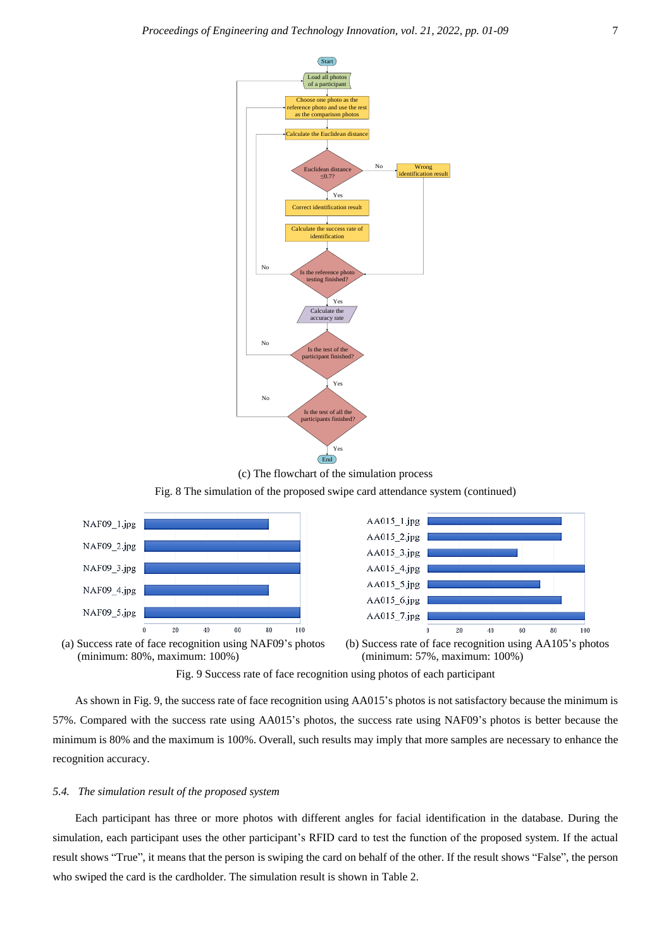

Fig. 8 The simulation of the proposed swipe card attendance system (continued)





(a) Success rate of face recognition using NAF09's photos (minimum: 80%, maximum: 100%)



Fig. 9 Success rate of face recognition using photos of each participant

As shown in Fig. 9, the success rate of face recognition using AA015's photos is not satisfactory because the minimum is 57%. Compared with the success rate using AA015's photos, the success rate using NAF09's photos is better because the minimum is 80% and the maximum is 100%. Overall, such results may imply that more samples are necessary to enhance the recognition accuracy.

#### *5.4. The simulation result of the proposed system*

Each participant has three or more photos with different angles for facial identification in the database. During the simulation, each participant uses the other participant's RFID card to test the function of the proposed system. If the actual result shows "True", it means that the person is swiping the card on behalf of the other. If the result shows "False", the person who swiped the card is the cardholder. The simulation result is shown in Table 2.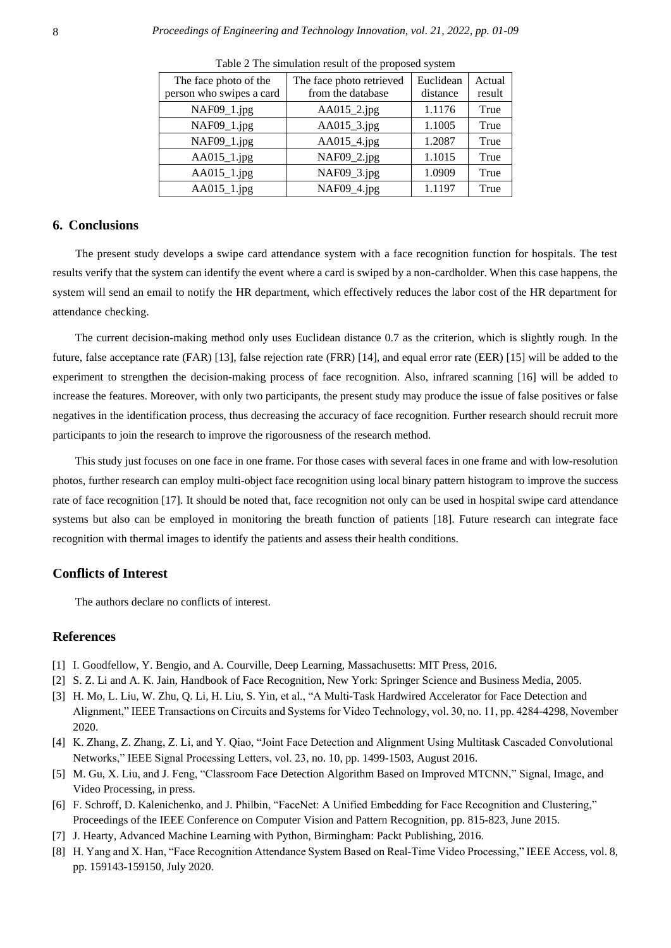| The face photo of the<br>person who swipes a card | The face photo retrieved<br>from the database | Euclidean<br>distance | Actual<br>result |
|---------------------------------------------------|-----------------------------------------------|-----------------------|------------------|
| NAF09_1.jpg                                       | AA015_2.jpg                                   | 1.1176                | True             |
| NAF09_1.jpg                                       | AA015_3.jpg                                   | 1.1005                | True             |
| NAF09_1.jpg                                       | AA015_4.jpg                                   | 1.2087                | True             |
| $AA015_1$ .jpg                                    | NAF09_2.jpg                                   | 1.1015                | True             |
| $AA015_1$ .jpg                                    | NAF09_3.jpg                                   | 1.0909                | True             |
| $AA015_1$ .jpg                                    | NAF09_4.jpg                                   | 1.1197                | True             |

Table 2 The simulation result of the proposed system

#### **6. Conclusions**

The present study develops a swipe card attendance system with a face recognition function for hospitals. The test results verify that the system can identify the event where a card is swiped by a non-cardholder. When this case happens, the system will send an email to notify the HR department, which effectively reduces the labor cost of the HR department for attendance checking.

The current decision-making method only uses Euclidean distance 0.7 as the criterion, which is slightly rough. In the future, false acceptance rate (FAR) [13], false rejection rate (FRR) [14], and equal error rate (EER) [15] will be added to the experiment to strengthen the decision-making process of face recognition. Also, infrared scanning [16] will be added to increase the features. Moreover, with only two participants, the present study may produce the issue of false positives or false negatives in the identification process, thus decreasing the accuracy of face recognition. Further research should recruit more participants to join the research to improve the rigorousness of the research method.

This study just focuses on one face in one frame. For those cases with several faces in one frame and with low-resolution photos, further research can employ multi-object face recognition using local binary pattern histogram to improve the success rate of face recognition [17]. It should be noted that, face recognition not only can be used in hospital swipe card attendance systems but also can be employed in monitoring the breath function of patients [18]. Future research can integrate face recognition with thermal images to identify the patients and assess their health conditions.

## **Conflicts of Interest**

The authors declare no conflicts of interest.

## **References**

- [1] I. Goodfellow, Y. Bengio, and A. Courville, Deep Learning, Massachusetts: MIT Press, 2016.
- [2] S. Z. Li and A. K. Jain, Handbook of Face Recognition, New York: Springer Science and Business Media, 2005.
- [3] H. Mo, L. Liu, W. Zhu, Q. Li, H. Liu, S. Yin, et al., "A Multi-Task Hardwired Accelerator for Face Detection and Alignment," IEEE Transactions on Circuits and Systems for Video Technology, vol. 30, no. 11, pp. 4284-4298, November 2020.
- [4] K. Zhang, Z. Zhang, Z. Li, and Y. Qiao, "Joint Face Detection and Alignment Using Multitask Cascaded Convolutional Networks," IEEE Signal Processing Letters, vol. 23, no. 10, pp. 1499-1503, August 2016.
- [5] M. Gu, X. Liu, and J. Feng, "Classroom Face Detection Algorithm Based on Improved MTCNN," Signal, Image, and Video Processing, in press.
- [6] F. Schroff, D. Kalenichenko, and J. Philbin, "FaceNet: A Unified Embedding for Face Recognition and Clustering," Proceedings of the IEEE Conference on Computer Vision and Pattern Recognition, pp. 815-823, June 2015.
- [7] J. Hearty, Advanced Machine Learning with Python, Birmingham: Packt Publishing, 2016.
- [8] H. Yang and X. Han, "Face Recognition Attendance System Based on Real-Time Video Processing," IEEE Access, vol. 8, pp. 159143-159150, July 2020.